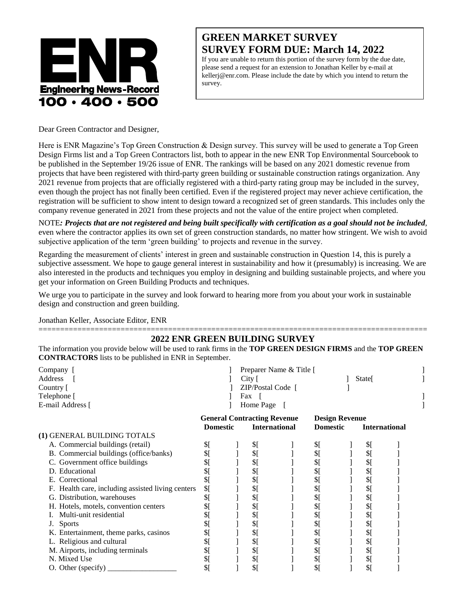

## **GREEN MARKET SURVEY SURVEY FORM DUE: March 14, 2022**

If you are unable to return this portion of the survey form by the due date, please send a request for an extension to Jonathan Keller by e-mail at kellerj@enr.com. Please include the date by which you intend to return the survey.

Dear Green Contractor and Designer,

Here is ENR Magazine's Top Green Construction & Design survey. This survey will be used to generate a Top Green Design Firms list and a Top Green Contractors list, both to appear in the new ENR Top Environmental Sourcebook to be published in the September 19/26 issue of ENR. The rankings will be based on any 2021 domestic revenue from projects that have been registered with third-party green building or sustainable construction ratings organization. Any 2021 revenue from projects that are officially registered with a third-party rating group may be included in the survey, even though the project has not finally been certified. Even if the registered project may never achieve certification, the registration will be sufficient to show intent to design toward a recognized set of green standards. This includes only the company revenue generated in 2021 from these projects and not the value of the entire project when completed.

NOTE*: Projects that are not registered and being built specifically with certification as a goal should not be included*, even where the contractor applies its own set of green construction standards, no matter how stringent. We wish to avoid subjective application of the term 'green building' to projects and revenue in the survey.

Regarding the measurement of clients' interest in green and sustainable construction in Question 14, this is purely a subjective assessment. We hope to gauge general interest in sustainability and how it (presumably) is increasing. We are also interested in the products and techniques you employ in designing and building sustainable projects, and where you get your information on Green Building Products and techniques.

We urge you to participate in the survey and look forward to hearing more from you about your work in sustainable design and construction and green building.

Jonathan Keller, Associate Editor, ENR

## ========================================================================================== **2022 ENR GREEN BUILDING SURVEY**

The information you provide below will be used to rank firms in the **TOP GREEN DESIGN FIRMS** and the **TOP GREEN CONTRACTORS** lists to be published in ENR in September.

| Company  <br>Address<br>Country [<br>Telephone [<br>E-mail Address [ |                                                                               |  | City [<br>$ZIP/Postal Code$ [<br>Fax<br>Home Page | Preparer Name & Title [                                          |     |  | State[ |  |
|----------------------------------------------------------------------|-------------------------------------------------------------------------------|--|---------------------------------------------------|------------------------------------------------------------------|-----|--|--------|--|
|                                                                      | <b>General Contracting Revenue</b><br><b>Domestic</b><br><b>International</b> |  |                                                   | <b>Design Revenue</b><br><b>Domestic</b><br><b>International</b> |     |  |        |  |
| (1) GENERAL BUILDING TOTALS                                          |                                                                               |  |                                                   |                                                                  |     |  |        |  |
| A. Commercial buildings (retail)                                     | \$[                                                                           |  | \$[                                               |                                                                  | \$[ |  | \$[    |  |
| B. Commercial buildings (office/banks)                               | \$[                                                                           |  | \$[                                               |                                                                  | \$[ |  | \$[    |  |
| C. Government office buildings                                       | \$[                                                                           |  | \$[                                               |                                                                  | \$[ |  | \$[    |  |
| D. Educational                                                       | \$[                                                                           |  | \$[                                               |                                                                  | \$[ |  | \$[    |  |
| Correctional<br>Е.                                                   | \$[                                                                           |  | \$[                                               |                                                                  | \$[ |  | \$[    |  |
| F. Health care, including assisted living centers                    | \$[                                                                           |  | \$[                                               |                                                                  | \$[ |  | \$[    |  |
| G. Distribution, warehouses                                          | \$[                                                                           |  | \$[                                               |                                                                  | \$[ |  | \$[    |  |
| H. Hotels, motels, convention centers                                | \$[                                                                           |  | \$[                                               |                                                                  | \$[ |  | \$[    |  |
| Multi-unit residential                                               | \$[                                                                           |  | \$[                                               |                                                                  | \$[ |  | \$[    |  |
| <b>Sports</b><br>J.                                                  | \$[                                                                           |  | \$[                                               |                                                                  | \$[ |  | \$[    |  |
| K. Entertainment, theme parks, casinos                               | \$[                                                                           |  | \$[                                               |                                                                  | \$[ |  | \$[    |  |
| L. Religious and cultural                                            | \$[                                                                           |  | \$[                                               |                                                                  | \$[ |  | \$[    |  |
| M. Airports, including terminals                                     | \$[                                                                           |  | \$[                                               |                                                                  | \$[ |  | \$[    |  |
| N. Mixed Use                                                         | \$[                                                                           |  | \$[                                               |                                                                  | \$[ |  | \$[    |  |
| O. Other (specify)                                                   | \$[                                                                           |  | $\frac{1}{2}$                                     |                                                                  | \$[ |  | \$[    |  |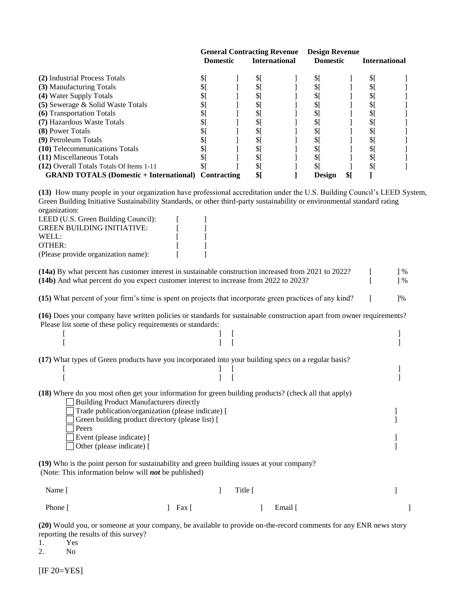|                                                            |                 | <b>General Contracting Revenue</b> |                      |  |                 | <b>Design Revenue</b> |               |  |
|------------------------------------------------------------|-----------------|------------------------------------|----------------------|--|-----------------|-----------------------|---------------|--|
|                                                            | <b>Domestic</b> |                                    | <b>International</b> |  | <b>Domestic</b> |                       | International |  |
| (2) Industrial Process Totals                              |                 |                                    | \$                   |  | \$[             |                       | \$[           |  |
| (3) Manufacturing Totals                                   |                 |                                    | \$                   |  | \$              |                       | \$I           |  |
| (4) Water Supply Totals                                    |                 |                                    | \$                   |  | \$              |                       | \$[           |  |
| (5) Sewerage & Solid Waste Totals                          |                 |                                    | \$                   |  | \$              |                       | \$I           |  |
| (6) Transportation Totals                                  |                 |                                    | \$                   |  | $\frac{1}{2}$   |                       | \$I           |  |
| (7) Hazardous Waste Totals                                 |                 |                                    | \$                   |  | \$[             |                       | \$[           |  |
| <b>(8)</b> Power Totals                                    |                 |                                    | $\frac{1}{2}$        |  | \$[             |                       | \$[           |  |
| (9) Petroleum Totals                                       |                 |                                    | \$                   |  | \$[             |                       | \$[           |  |
| (10) Telecommunications Totals                             |                 |                                    | \$                   |  | \$[             |                       | \$ſ           |  |
| (11) Miscellaneous Totals                                  |                 |                                    | \$                   |  | \$[             |                       | \$[           |  |
| (12) Overall Totals Totals Of Items 1-11                   |                 |                                    | SI                   |  | \$1             |                       | \$I           |  |
| <b>GRAND TOTALS (Domestic + International) Contracting</b> |                 |                                    | \$                   |  | <b>Design</b>   | \$1                   |               |  |

**(13)** How many people in your organization have professional accreditation under the U.S. Building Council's LEED System, Green Building Initiative Sustainability Standards, or other third-party sustainability or environmental standard rating organization:

| LEED (U.S. Green Building Council): |  |
|-------------------------------------|--|
| <b>GREEN BUILDING INITIATIVE:</b>   |  |
| WELL:                               |  |
| OTHER:                              |  |
| (Please provide organization name): |  |

**(14a)** By what percent has customer interest in sustainable construction increased from 2021 to 2022? [ ] % **(14b)** And what percent do you expect customer interest to increase from 2022 to 2023? [ ] % **(15)** What percent of your firm's time is spent on projects that incorporate green practices of any kind? [ ]%

**(16)** Does your company have written policies or standards for sustainable construction apart from owner requirements? Please list some of these policy requirements or standards:

 $[$   $]$   $[$   $]$   $[$   $]$   $[$   $]$   $[$   $]$   $[$   $]$   $[$   $]$   $[$   $]$   $[$   $]$   $[$   $]$   $[$   $]$   $[$   $]$   $[$   $]$   $[$   $]$   $[$   $]$   $[$   $]$   $[$   $]$   $[$   $]$   $[$   $]$   $[$   $]$   $[$   $]$   $[$   $]$   $[$   $]$   $[$   $]$   $[$   $]$   $[$   $]$   $[$   $]$   $[$   $[$   $]$   $[$   $]$   $[$   $]$   $[$   $]$   $[$   $]$   $[$   $]$   $[$   $]$   $[$   $]$   $[$   $]$   $[$   $]$   $[$   $]$   $[$   $]$   $[$   $]$   $[$   $]$   $[$   $]$   $[$   $]$   $[$   $]$   $[$   $]$   $[$   $]$   $[$   $]$   $[$   $]$   $[$   $]$   $[$   $]$   $[$   $]$   $[$   $]$   $[$   $]$   $[$   $]$   $[$ 

 $[$   $]$   $[$   $]$   $[$   $]$   $[$   $]$   $[$   $]$   $[$   $]$   $[$   $]$   $[$   $]$   $[$   $]$   $[$   $]$   $[$   $]$   $[$   $]$   $[$   $]$   $[$   $]$   $[$   $]$   $[$   $]$   $[$   $]$   $[$   $]$   $[$   $]$   $[$   $]$   $[$   $]$   $[$   $]$   $[$   $]$   $[$   $]$   $[$   $]$   $[$   $]$   $[$   $]$   $[$   $[$   $]$   $[$   $]$   $[$   $]$   $[$   $]$   $[$   $]$   $[$   $]$   $[$   $]$   $[$   $]$   $[$   $]$   $[$   $]$   $[$   $]$   $[$   $]$   $[$   $]$   $[$   $]$   $[$   $]$   $[$   $]$   $[$   $]$   $[$   $]$   $[$   $]$   $[$   $]$   $[$   $]$   $[$   $]$   $[$   $]$   $[$   $]$   $[$   $]$   $[$   $]$   $[$   $]$   $[$ 

**(17)** What types of Green products have you incorporated into your building specs on a regular basis?

**(18)** Where do you most often get your information for green building products? (check all that apply)

| <b>Building Product Manufacturers directly</b>     |  |
|----------------------------------------------------|--|
| Trade publication/organization (please indicate) [ |  |
| Green building product directory (please list) [   |  |
| Peers                                              |  |
| Event (please indicate) [                          |  |
| $\Box$ Other (please indicate) $\Box$              |  |
|                                                    |  |

**(19)** Who is the point person for sustainability and green building issues at your company? (Note: This information below will *not* be published)

| Name [  |           | Title [ |         |  |
|---------|-----------|---------|---------|--|
| Phone [ | $]$ Fax [ |         | Email [ |  |

**(20)** Would you, or someone at your company, be available to provide on-the-record comments for any ENR news story reporting the results of this survey?

1. Yes 2. No